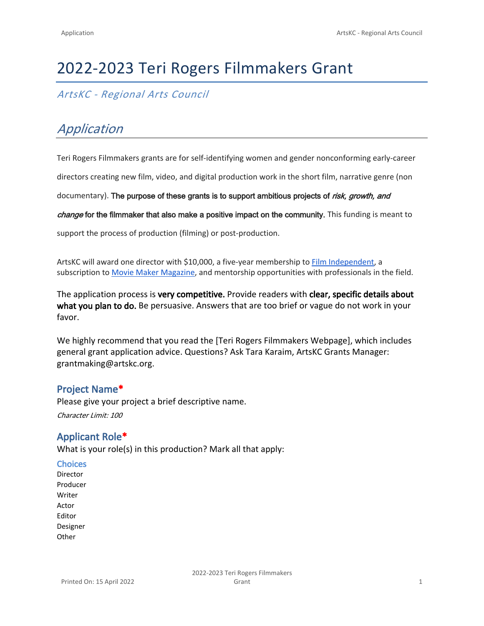# 2022-2023 Teri Rogers Filmmakers Grant

*ArtsKC - Regional Arts Council*

## *Application*

Teri Rogers Filmmakers grants are for self-identifying women and gender nonconforming early-career

directors creating new film, video, and digital production work in the short film, narrative genre (non

documentary). **The purpose of these grants is to support ambitious projects of** *risk, growth, and* 

*change* **for the filmmaker that also make a positive impact on the community.** This funding is meant to

support the process of production (filming) or post-production.

ArtsKC will award one director with \$10,000, a five-year membership to Film Independent, a subscription to Movie Maker Magazine, and mentorship opportunities with professionals in the field.

The application process is **very competitive.** Provide readers with **clear, specific details about what you plan to do.** Be persuasive. Answers that are too brief or vague do not work in your favor.

We highly recommend that you read the [Teri Rogers Filmmakers Webpage], which includes general grant application advice. Questions? Ask Tara Karaim, ArtsKC Grants Manager: grantmaking@artskc.org.

## **Project Name\***

Please give your project a brief descriptive name. *Character Limit: 100*

## **Applicant Role\***

What is your role(s) in this production? Mark all that apply:

#### **Choices**

Director Producer Writer Actor Editor Designer **Other**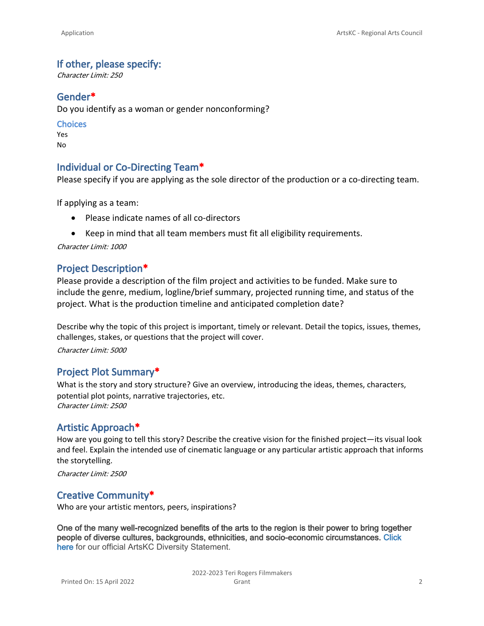### **If other, please specify:**

*Character Limit: 250*

## **Gender\***

Do you identify as a woman or gender nonconforming?

#### **Choices**

Yes No

## **Individual or Co-Directing Team\***

Please specify if you are applying as the sole director of the production or a co-directing team.

If applying as a team:

- Please indicate names of all co-directors
- Keep in mind that all team members must fit all eligibility requirements.

*Character Limit: 1000*

## **Project Description\***

Please provide a description of the film project and activities to be funded. Make sure to include the genre, medium, logline/brief summary, projected running time, and status of the project. What is the production timeline and anticipated completion date?

Describe why the topic of this project is important, timely or relevant. Detail the topics, issues, themes, challenges, stakes, or questions that the project will cover.

*Character Limit: 5000*

## **Project Plot Summary\***

What is the story and story structure? Give an overview, introducing the ideas, themes, characters, potential plot points, narrative trajectories, etc. *Character Limit: 2500*

## **Artistic Approach\***

How are you going to tell this story? Describe the creative vision for the finished project—its visual look and feel. Explain the intended use of cinematic language or any particular artistic approach that informs the storytelling.

*Character Limit: 2500*

## **Creative Community\***

Who are your artistic mentors, peers, inspirations?

**One of the many well-recognized benefits of the arts to the region is their power to bring together people of diverse cultures, backgrounds, ethnicities, and socio-economic circumstances. Click here** for our official ArtsKC Diversity Statement.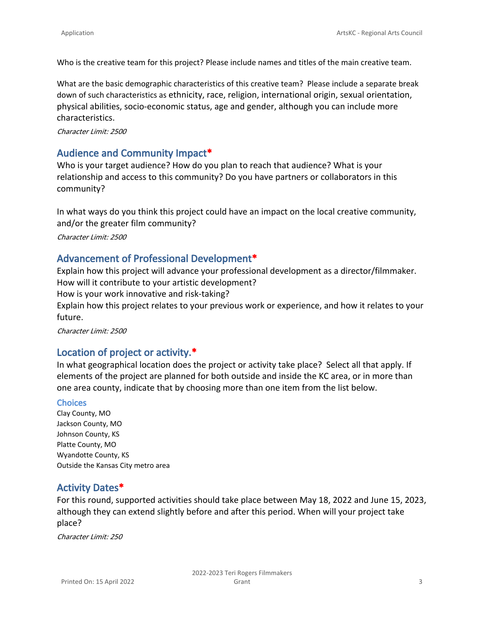Who is the creative team for this project? Please include names and titles of the main creative team.

What are the basic demographic characteristics of this creative team? Please include a separate break down of such characteristics as ethnicity, race, religion, international origin, sexual orientation, physical abilities, socio-economic status, age and gender, although you can include more characteristics.

*Character Limit: 2500*

## **Audience and Community Impact\***

Who is your target audience? How do you plan to reach that audience? What is your relationship and access to this community? Do you have partners or collaborators in this community?

In what ways do you think this project could have an impact on the local creative community, and/or the greater film community? *Character Limit: 2500*

#### **Advancement of Professional Development\***

Explain how this project will advance your professional development as a director/filmmaker. How will it contribute to your artistic development? How is your work innovative and risk-taking? Explain how this project relates to your previous work or experience, and how it relates to your future.

*Character Limit: 2500*

## **Location of project or activity.\***

In what geographical location does the project or activity take place? Select all that apply. If elements of the project are planned for both outside and inside the KC area, or in more than one area county, indicate that by choosing more than one item from the list below.

#### **Choices**

Clay County, MO Jackson County, MO Johnson County, KS Platte County, MO Wyandotte County, KS Outside the Kansas City metro area

## **Activity Dates\***

For this round, supported activities should take place between May 18, 2022 and June 15, 2023, although they can extend slightly before and after this period. When will your project take place?

*Character Limit: 250*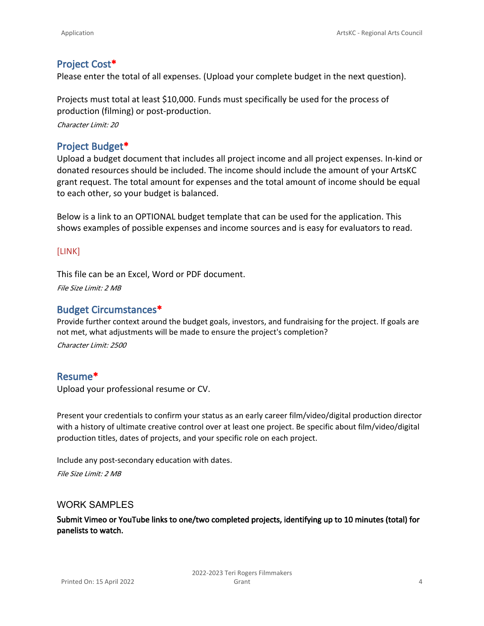## **Project Cost\***

Please enter the total of all expenses. (Upload your complete budget in the next question).

Projects must total at least \$10,000. Funds must specifically be used for the process of production (filming) or post-production.

*Character Limit: 20*

## **Project Budget\***

Upload a budget document that includes all project income and all project expenses. In-kind or donated resources should be included. The income should include the amount of your ArtsKC grant request. The total amount for expenses and the total amount of income should be equal to each other, so your budget is balanced.

Below is a link to an OPTIONAL budget template that can be used for the application. This shows examples of possible expenses and income sources and is easy for evaluators to read.

#### [LINK]

This file can be an Excel, Word or PDF document. *File Size Limit: 2 MB*

## **Budget Circumstances\***

Provide further context around the budget goals, investors, and fundraising for the project. If goals are not met, what adjustments will be made to ensure the project's completion? *Character Limit: 2500*

## **Resume\***

Upload your professional resume or CV.

Present your credentials to confirm your status as an early career film/video/digital production director with a history of ultimate creative control over at least one project. Be specific about film/video/digital production titles, dates of projects, and your specific role on each project.

Include any post-secondary education with dates.

*File Size Limit: 2 MB*

#### WORK SAMPLES

**Submit Vimeo or YouTube links to one/two completed projects, identifying up to 10 minutes (total) for panelists to watch.**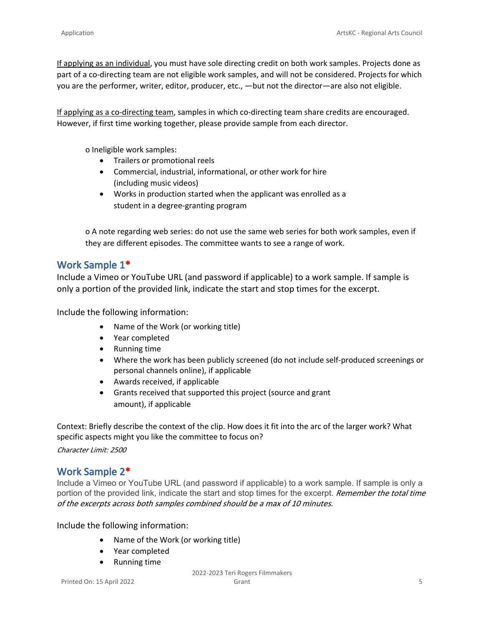If applying as an individual, you must have sole directing credit on both work samples. Projects done as part of a co-directing team are not eligible work samples, and will not be considered. Projects for which you are the performer, writer, editor, producer, etc., —but not the director—are also not eligible.

If applying as a co-directing team, samples in which co-directing team share credits are encouraged. However, if first time working together, please provide sample from each director.

o Ineligible work samples:

- Trailers or promotional reels
- Commercial, industrial, informational, or other work for hire (including music videos)
- Works in production started when the applicant was enrolled as a student in a degree-granting program

o A note regarding web series: do not use the same web series for both work samples, even if they are different episodes. The committee wants to see a range of work.

## **Work Sample 1\***

Include a Vimeo or YouTube URL (and password if applicable) to a work sample. If sample is only a portion of the provided link, indicate the start and stop times for the excerpt.

Include the following information:

- Name of the Work (or working title)
- Year completed
- Running time
- Where the work has been publicly screened (do not include self-produced screenings or personal channels online), if applicable
- Awards received, if applicable
- Grants received that supported this project (source and grant amount), if applicable

Context: Briefly describe the context of the clip. How does it fit into the arc of the larger work? What specific aspects might you like the committee to focus on?

*Character Limit: 2500*

## **Work Sample 2\***

Include a Vimeo or YouTube URL (and password if applicable) to a work sample. If sample is only a portion of the provided link, indicate the start and stop times for the excerpt. *Remember the total time of the excerpts across both samples combined should be a max of 10 minutes.*

Include the following information:

- Name of the Work (or working title)
- Year completed
- Running time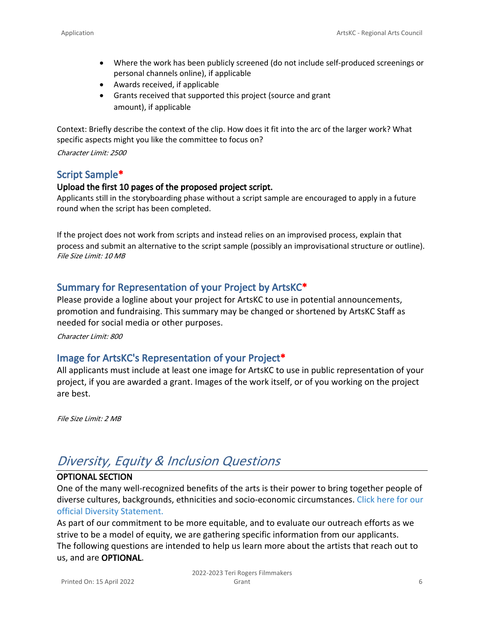- Where the work has been publicly screened (do not include self-produced screenings or personal channels online), if applicable
- Awards received, if applicable
- Grants received that supported this project (source and grant amount), if applicable

Context: Briefly describe the context of the clip. How does it fit into the arc of the larger work? What specific aspects might you like the committee to focus on?

*Character Limit: 2500*

## **Script Sample\***

#### **Upload the first 10 pages of the proposed project script.**

Applicants still in the storyboarding phase without a script sample are encouraged to apply in a future round when the script has been completed.

If the project does not work from scripts and instead relies on an improvised process, explain that process and submit an alternative to the script sample (possibly an improvisational structure or outline). *File Size Limit: 10 MB*

## **Summary for Representation of your Project by ArtsKC\***

Please provide a logline about your project for ArtsKC to use in potential announcements, promotion and fundraising. This summary may be changed or shortened by ArtsKC Staff as needed for social media or other purposes.

*Character Limit: 800*

## **Image for ArtsKC's Representation of your Project\***

All applicants must include at least one image for ArtsKC to use in public representation of your project, if you are awarded a grant. Images of the work itself, or of you working on the project are best.

*File Size Limit: 2 MB*

## *Diversity, Equity & Inclusion Questions*

#### **OPTIONAL SECTION**

One of the many well-recognized benefits of the arts is their power to bring together people of diverse cultures, backgrounds, ethnicities and socio-economic circumstances. Click here for our official Diversity Statement.

As part of our commitment to be more equitable, and to evaluate our outreach efforts as we strive to be a model of equity, we are gathering specific information from our applicants. The following questions are intended to help us learn more about the artists that reach out to us, and are **OPTIONAL**.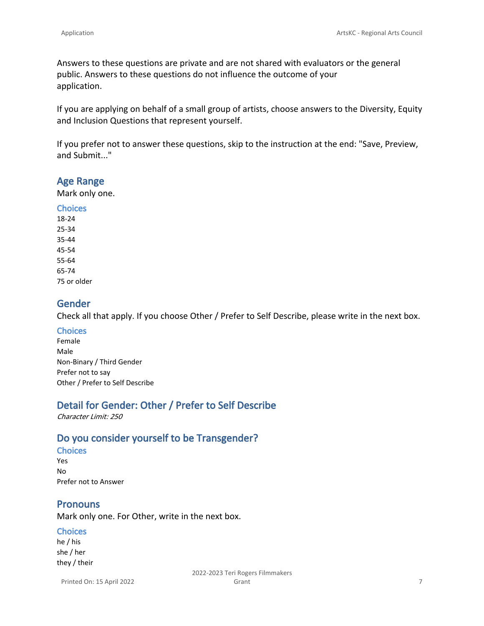Answers to these questions are private and are not shared with evaluators or the general public. Answers to these questions do not influence the outcome of your application.

If you are applying on behalf of a small group of artists, choose answers to the Diversity, Equity and Inclusion Questions that represent yourself.

If you prefer not to answer these questions, skip to the instruction at the end: "Save, Preview, and Submit..."

#### **Age Range**

Mark only one.

**Choices** 18-24 25-34 35-44 45-54 55-64 65-74 75 or older

## **Gender**

Check all that apply. If you choose Other / Prefer to Self Describe, please write in the next box.

#### **Choices**

Female Male Non-Binary / Third Gender Prefer not to say Other / Prefer to Self Describe

## **Detail for Gender: Other / Prefer to Self Describe**

*Character Limit: 250*

## **Do you consider yourself to be Transgender?**

#### **Choices**

Yes No Prefer not to Answer

## **Pronouns**

Mark only one. For Other, write in the next box.

#### **Choices**

he / his she / her they / their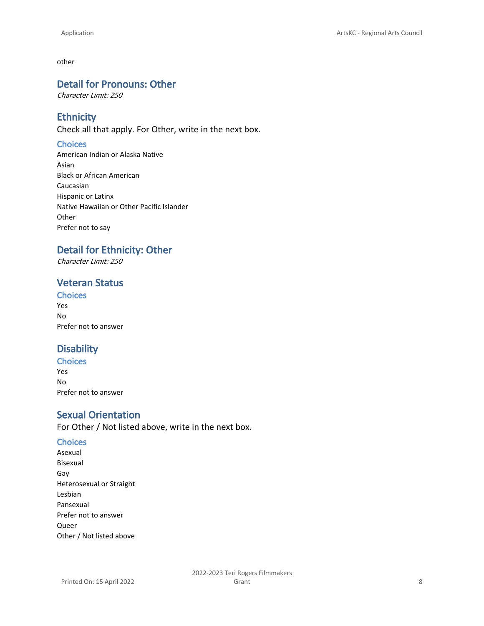other

## **Detail for Pronouns: Other**

*Character Limit: 250*

## **Ethnicity**

Check all that apply. For Other, write in the next box.

#### **Choices**

American Indian or Alaska Native Asian Black or African American Caucasian Hispanic or Latinx Native Hawaiian or Other Pacific Islander **Other** Prefer not to say

## **Detail for Ethnicity: Other**

*Character Limit: 250*

## **Veteran Status**

## **Choices**

Yes No Prefer not to answer

## **Disability**

**Choices** Yes No Prefer not to answer

## **Sexual Orientation**

For Other / Not listed above, write in the next box.

#### **Choices**

Asexual Bisexual Gay Heterosexual or Straight Lesbian Pansexual Prefer not to answer Queer Other / Not listed above